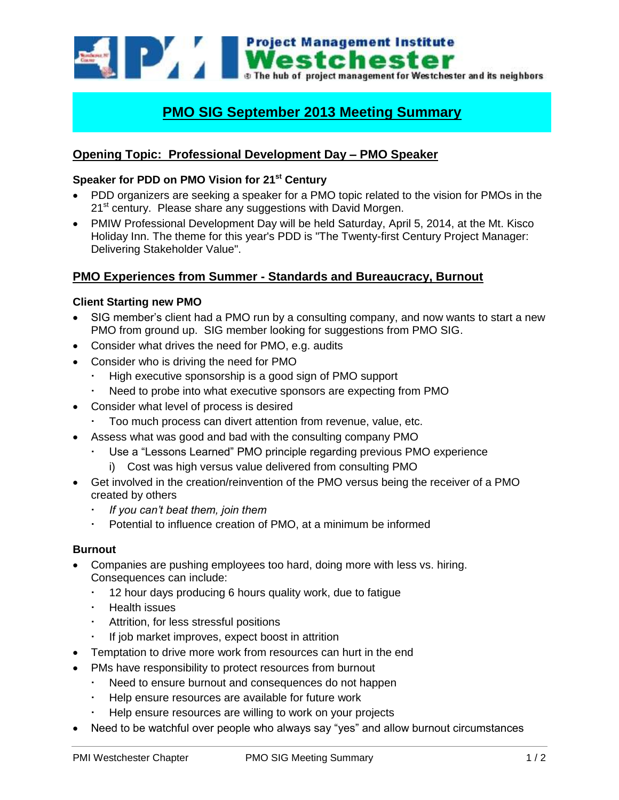**Project Management Institute** Westchester The hub of project management for Westchester and its neighbors

# **PMO SIG September 2013 Meeting Summary**

## **Opening Topic: Professional Development Day – PMO Speaker**

### **Speaker for PDD on PMO Vision for 21st Century**

- PDD organizers are seeking a speaker for a PMO topic related to the vision for PMOs in the 21<sup>st</sup> century. Please share any suggestions with David Morgen.
- PMIW Professional Development Day will be held Saturday, April 5, 2014, at the Mt. Kisco Holiday Inn. The theme for this year's PDD is "The Twenty-first Century Project Manager: Delivering Stakeholder Value".

## **PMO Experiences from Summer - Standards and Bureaucracy, Burnout**

#### **Client Starting new PMO**

- SIG member's client had a PMO run by a consulting company, and now wants to start a new PMO from ground up. SIG member looking for suggestions from PMO SIG.
- Consider what drives the need for PMO, e.g. audits
- Consider who is driving the need for PMO
	- High executive sponsorship is a good sign of PMO support
	- Need to probe into what executive sponsors are expecting from PMO
- Consider what level of process is desired
	- Too much process can divert attention from revenue, value, etc.
- Assess what was good and bad with the consulting company PMO
	- Use a "Lessons Learned" PMO principle regarding previous PMO experience
		- i) Cost was high versus value delivered from consulting PMO
- Get involved in the creation/reinvention of the PMO versus being the receiver of a PMO created by others
	- *If you can't beat them, join them*
	- Potential to influence creation of PMO, at a minimum be informed

#### **Burnout**

- Companies are pushing employees too hard, doing more with less vs. hiring. Consequences can include:
	- 12 hour days producing 6 hours quality work, due to fatigue
	- Health issues
	- Attrition, for less stressful positions
	- If job market improves, expect boost in attrition
- Temptation to drive more work from resources can hurt in the end
- PMs have responsibility to protect resources from burnout
	- Need to ensure burnout and consequences do not happen
	- Help ensure resources are available for future work
	- Help ensure resources are willing to work on your projects
- Need to be watchful over people who always say "yes" and allow burnout circumstances